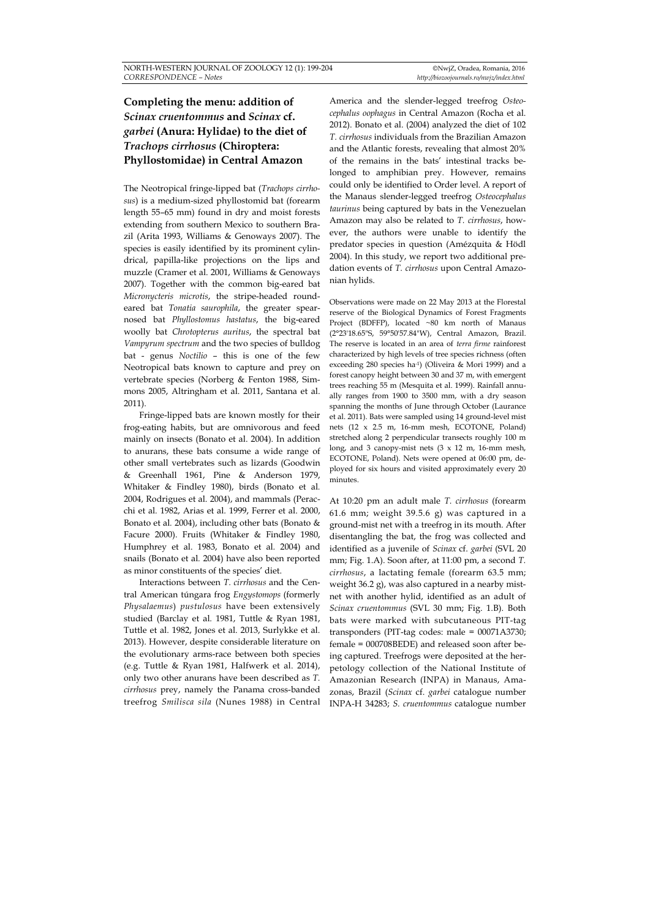## **Completing the menu: addition of**  *Scinax cruentommus* **and** *Scinax* **cf.** *garbei* **(Anura: Hylidae) to the diet of**  *Trachops cirrhosus* **(Chiroptera: Phyllostomidae) in Central Amazon**

The Neotropical fringe-lipped bat (*Trachops cirrhosus*) is a medium-sized phyllostomid bat (forearm length 55–65 mm) found in dry and moist forests extending from southern Mexico to southern Brazil (Arita 1993, Williams & Genoways 2007). The species is easily identified by its prominent cylindrical, papilla-like projections on the lips and muzzle (Cramer et al. 2001, Williams & Genoways 2007). Together with the common big-eared bat *Micronycteris microtis*, the stripe-headed roundeared bat *Tonatia saurophila*, the greater spearnosed bat *Phyllostomus hastatus*, the big-eared woolly bat *Chrotopterus auritus*, the spectral bat *Vampyrum spectrum* and the two species of bulldog bat - genus *Noctilio* – this is one of the few Neotropical bats known to capture and prey on vertebrate species (Norberg & Fenton 1988, Simmons 2005, Altringham et al. 2011, Santana et al. 2011).

Fringe-lipped bats are known mostly for their frog-eating habits, but are omnivorous and feed mainly on insects (Bonato et al. 2004). In addition to anurans, these bats consume a wide range of other small vertebrates such as lizards (Goodwin & Greenhall 1961, Pine & Anderson 1979, Whitaker & Findley 1980), birds (Bonato et al*.* 2004, Rodrigues et al. 2004), and mammals (Peracchi et al*.* 1982, Arias et al*.* 1999, Ferrer et al. 2000, Bonato et al*.* 2004), including other bats (Bonato & Facure 2000). Fruits (Whitaker & Findley 1980, Humphrey et al. 1983, Bonato et al*.* 2004) and snails (Bonato et al*.* 2004) have also been reported as minor constituents of the species' diet.

Interactions between *T. cirrhosus* and the Central American túngara frog *Engystomops* (formerly *Physalaemus*) *pustulosus* have been extensively studied (Barclay et al*.* 1981, Tuttle & Ryan 1981, Tuttle et al. 1982, Jones et al. 2013, Surlykke et al. 2013). However, despite considerable literature on the evolutionary arms-race between both species (e.g. Tuttle & Ryan 1981, Halfwerk et al. 2014), only two other anurans have been described as *T. cirrhosus* prey, namely the Panama cross-banded treefrog *Smilisca sila* (Nunes 1988) in Central America and the slender-legged treefrog *Osteocephalus oophagus* in Central Amazon (Rocha et al. 2012). Bonato et al. (2004) analyzed the diet of 102 *T. cirrhosus* individuals from the Brazilian Amazon and the Atlantic forests, revealing that almost 20% of the remains in the bats' intestinal tracks belonged to amphibian prey. However, remains could only be identified to Order level. A report of the Manaus slender-legged treefrog *Osteocephalus taurinus* being captured by bats in the Venezuelan Amazon may also be related to *T. cirrhosus*, however, the authors were unable to identify the predator species in question (Amézquita & Hödl 2004). In this study, we report two additional predation events of *T. cirrhosus* upon Central Amazonian hylids.

Observations were made on 22 May 2013 at the Florestal reserve of the Biological Dynamics of Forest Fragments Project (BDFFP), located ~80 km north of Manaus (2°23'18.65"S, 59°50'57.84"W), Central Amazon, Brazil. The reserve is located in an area of *terra firme* rainforest characterized by high levels of tree species richness (often exceeding 280 species ha-1) (Oliveira & Mori 1999) and a forest canopy height between 30 and 37 m, with emergent trees reaching 55 m (Mesquita et al. 1999). Rainfall annually ranges from 1900 to 3500 mm, with a dry season spanning the months of June through October (Laurance et al. 2011). Bats were sampled using 14 ground-level mist nets (12 x 2.5 m, 16-mm mesh, ECOTONE, Poland) stretched along 2 perpendicular transects roughly 100 m long, and 3 canopy-mist nets (3 x 12 m, 16-mm mesh, ECOTONE, Poland). Nets were opened at 06:00 pm, deployed for six hours and visited approximately every 20 minutes.

At 10:20 pm an adult male *T. cirrhosus* (forearm 61.6 mm; weight 39.5.6 g) was captured in a ground-mist net with a treefrog in its mouth. After disentangling the bat, the frog was collected and identified as a juvenile of *Scinax* cf. *garbei* (SVL 20 mm; Fig. 1.A). Soon after, at 11:00 pm, a second *T. cirrhosus*, a lactating female (forearm 63.5 mm; weight 36.2 g), was also captured in a nearby mistnet with another hylid, identified as an adult of *Scinax cruentommus* (SVL 30 mm; Fig. 1.B). Both bats were marked with subcutaneous PIT-tag transponders (PIT-tag codes: male = 00071A3730; female = 000708BEDE) and released soon after being captured. Treefrogs were deposited at the herpetology collection of the National Institute of Amazonian Research (INPA) in Manaus, Amazonas, Brazil (*Scinax* cf. *garbei* catalogue number INPA-H 34283; *S. cruentommus* catalogue number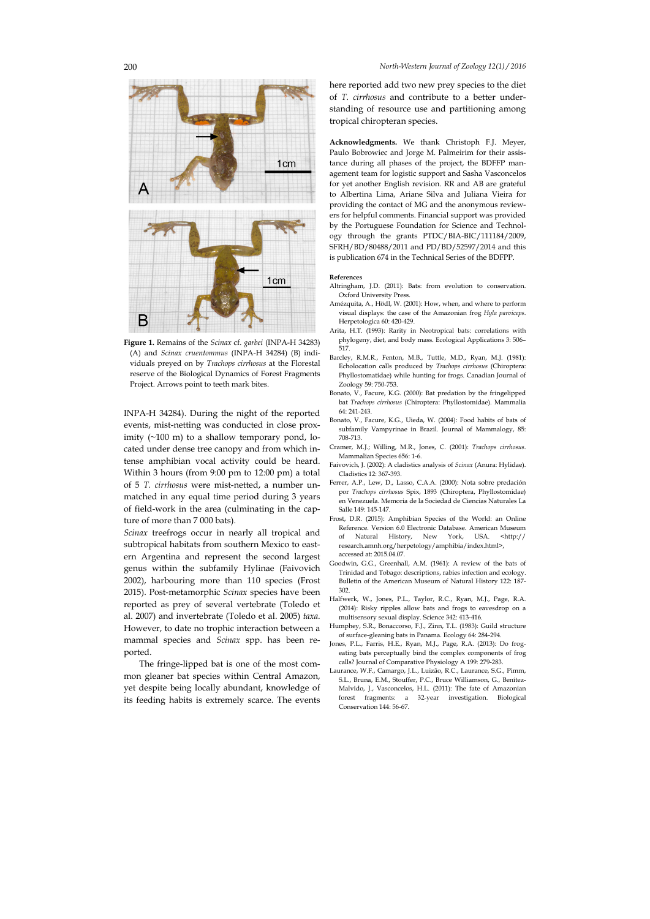

**Figure 1.** Remains of the *Scinax* cf. *garbei* (INPA-H 34283) (A) and *Scinax cruentommus* (INPA-H 34284) (B) individuals preyed on by *Trachops cirrhosus* at the Florestal reserve of the Biological Dynamics of Forest Fragments Project. Arrows point to teeth mark bites.

INPA-H 34284). During the night of the reported events, mist-netting was conducted in close proximity  $(\sim 100 \text{ m})$  to a shallow temporary pond, located under dense tree canopy and from which intense amphibian vocal activity could be heard. Within 3 hours (from 9:00 pm to 12:00 pm) a total of 5 *T. cirrhosus* were mist-netted, a number unmatched in any equal time period during 3 years of field-work in the area (culminating in the capture of more than 7 000 bats).

*Scinax* treefrogs occur in nearly all tropical and subtropical habitats from southern Mexico to eastern Argentina and represent the second largest genus within the subfamily Hylinae (Faivovich 2002), harbouring more than 110 species (Frost 2015). Post-metamorphic *Scinax* species have been reported as prey of several vertebrate (Toledo et al. 2007) and invertebrate (Toledo et al. 2005) *taxa*. However, to date no trophic interaction between a mammal species and *Scinax* spp. has been reported.

The fringe-lipped bat is one of the most common gleaner bat species within Central Amazon, yet despite being locally abundant, knowledge of its feeding habits is extremely scarce. The events here reported add two new prey species to the diet of *T. cirrhosus* and contribute to a better understanding of resource use and partitioning among tropical chiropteran species.

**Acknowledgments.** We thank Christoph F.J. Meyer, Paulo Bobrowiec and Jorge M. Palmeirim for their assistance during all phases of the project, the BDFFP management team for logistic support and Sasha Vasconcelos for yet another English revision. RR and AB are grateful to Albertina Lima, Ariane Silva and Juliana Vieira for providing the contact of MG and the anonymous reviewers for helpful comments. Financial support was provided by the Portuguese Foundation for Science and Technology through the grants PTDC/BIA-BIC/111184/2009, SFRH/BD/80488/2011 and PD/BD/52597/2014 and this is publication 674 in the Technical Series of the BDFPP.

## **References**

- Altringham, I.D. (2011): Bats: from evolution to conservation. Oxford University Press.
- Amézquita, A., Hödl, W. (2001): How, when, and where to perform visual displays: the case of the Amazonian frog *Hyla parviceps*. Herpetologica 60: 420-429.
- Arita, H.T. (1993): Rarity in Neotropical bats: correlations with phylogeny, diet, and body mass. Ecological Applications 3: 506– 517.
- Barcley, R.M.R., Fenton, M.B., Tuttle, M.D., Ryan, M.J. (1981): Echolocation calls produced by *Trachops cirrhosus* (Chiroptera: Phyllostomatidae) while hunting for frogs. Canadian Journal of Zoology 59: 750-753.
- Bonato, V., Facure, K.G. (2000): Bat predation by the fringelipped bat *Trachops cirrhosus* (Chiroptera: Phyllostomidae). Mammalia 64: 241-243.
- Bonato, V., Facure, K.G., Uieda, W. (2004): Food habits of bats of subfamily Vampyrinae in Brazil. Journal of Mammalogy, 85: 708-713.
- Cramer, M.J.; Willing, M.R., Jones, C. (2001): *Trachops cirrhosus*. Mammalian Species 656: 1-6.
- Faivovich, J. (2002): A cladistics analysis of *Scinax* (Anura: Hylidae). Cladistics 12: 367-393.
- Ferrer, A.P., Lew, D., Lasso, C.A.A. (2000): Nota sobre predación por *Trachops cirrhosus* Spix, 1893 (Chiroptera, Phyllostomidae) en Venezuela. Memoria de la Sociedad de Ciencias Naturales La Salle 149: 145-147.
- Frost, D.R. (2015): Amphibian Species of the World: an Online Reference. Version 6.0 Electronic Database. American Museum of Natural History, New York, USA. <http:// research.amnh.org/herpetology/amphibia/index.html>, accessed at: 2015.04.07.
- Goodwin, G.G., Greenhall, A.M. (1961): A review of the bats of Trinidad and Tobago: descriptions, rabies infection and ecology. Bulletin of the American Museum of Natural History 122: 187- 302.
- Halfwerk, W., Jones, P.L., Taylor, R.C., Ryan, M.J., Page, R.A. (2014): Risky ripples allow bats and frogs to eavesdrop on a multisensory sexual display. Science 342: 413-416.
- Humphey, S.R., Bonaccorso, F.J., Zinn, T.L. (1983): Guild structure of surface-gleaning bats in Panama. Ecology 64: 284-294.
- Jones, P.L., Farris, H.E., Ryan, M.J., Page, R.A. (2013): Do frogeating bats perceptually bind the complex components of frog calls? Journal of Comparative Physiology A 199: 279-283.
- Laurance, W.F., Camargo, J.L., Luizão, R.C., Laurance, S.G., Pimm, S.L., Bruna, E.M., Stouffer, P.C., Bruce Williamson, G., Benítez-Malvido, J., Vasconcelos, H.L. (2011): The fate of Amazonian forest fragments: a 32-year investigation. Biological Conservation 144: 56-67.